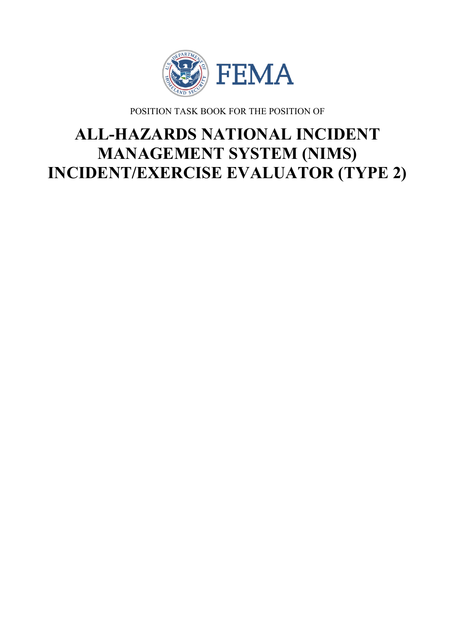

POSITION TASK BOOK FOR THE POSITION OF

# **ALL-HAZARDS NATIONAL INCIDENT MANAGEMENT SYSTEM (NIMS) INCIDENT/EXERCISE EVALUATOR (TYPE 2)**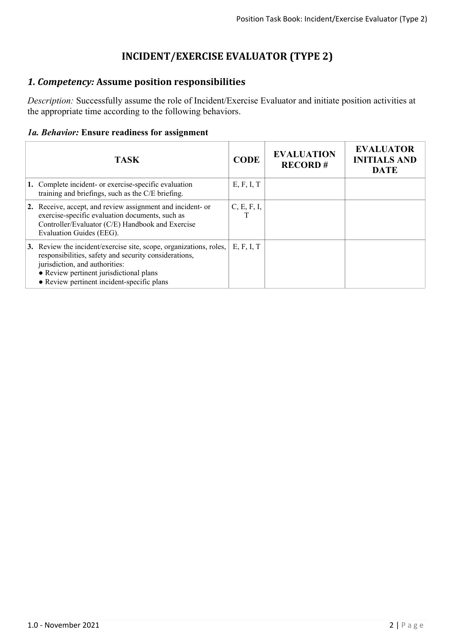## **INCIDENT/EXERCISE EVALUATOR (TYPE 2)**

## *1. Competency:* **Assume position responsibilities**

*Description:* Successfully assume the role of Incident/Exercise Evaluator and initiate position activities at the appropriate time according to the following behaviors.

#### *1a. Behavior:* **Ensure readiness for assignment**

| <b>TASK</b>                                                                                                                                                                                                                                            | <b>CODE</b> | <b>EVALUATION</b><br><b>RECORD#</b> | <b>EVALUATOR</b><br><b>INITIALS AND</b><br><b>DATE</b> |
|--------------------------------------------------------------------------------------------------------------------------------------------------------------------------------------------------------------------------------------------------------|-------------|-------------------------------------|--------------------------------------------------------|
| 1. Complete incident- or exercise-specific evaluation<br>training and briefings, such as the C/E briefing.                                                                                                                                             | E, F, I, T  |                                     |                                                        |
| 2. Receive, accept, and review assignment and incident- or<br>exercise-specific evaluation documents, such as<br>Controller/Evaluator (C/E) Handbook and Exercise<br>Evaluation Guides (EEG).                                                          | C, E, F, I, |                                     |                                                        |
| 3. Review the incident/exercise site, scope, organizations, roles,<br>responsibilities, safety and security considerations,<br>jurisdiction, and authorities:<br>• Review pertinent jurisdictional plans<br>• Review pertinent incident-specific plans | E, F, I, T  |                                     |                                                        |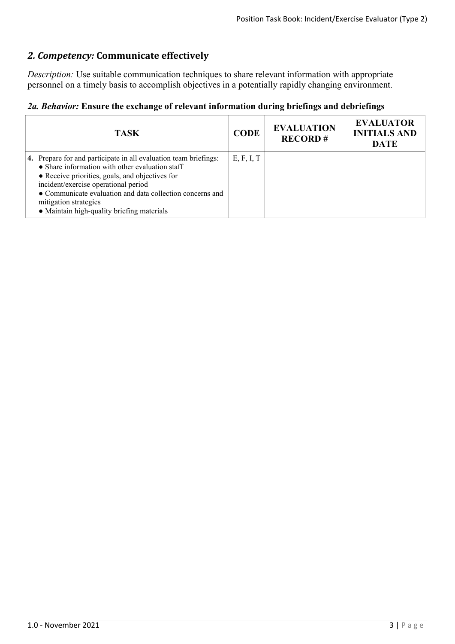## *2. Competency:* **Communicate effectively**

*Description:* Use suitable communication techniques to share relevant information with appropriate personnel on a timely basis to accomplish objectives in a potentially rapidly changing environment.

### *2a. Behavior:* **Ensure the exchange of relevant information during briefings and debriefings**

| <b>TASK</b>                                                                                                                                                                                                                                                                                                                                                | <b>CODE</b> | <b>EVALUATION</b><br><b>RECORD#</b> | <b>EVALUATOR</b><br><b>INITIALS AND</b><br><b>DATE</b> |
|------------------------------------------------------------------------------------------------------------------------------------------------------------------------------------------------------------------------------------------------------------------------------------------------------------------------------------------------------------|-------------|-------------------------------------|--------------------------------------------------------|
| 4. Prepare for and participate in all evaluation team briefings:<br>$\bullet$ Share information with other evaluation staff<br>• Receive priorities, goals, and objectives for<br>incident/exercise operational period<br>• Communicate evaluation and data collection concerns and<br>mitigation strategies<br>• Maintain high-quality briefing materials | E, F, I, T  |                                     |                                                        |